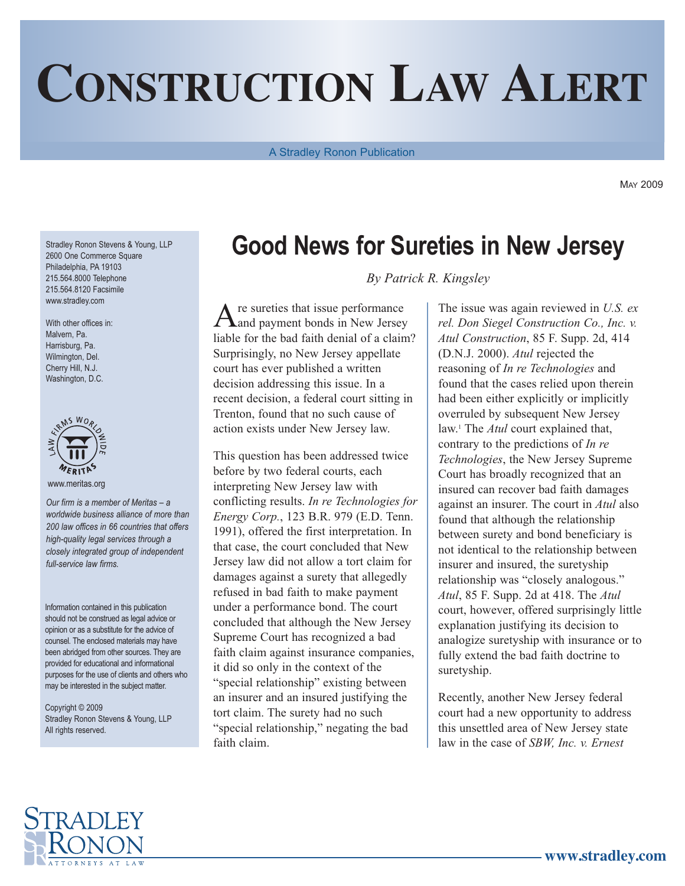## **CONSTRUCTION LAW ALERT**

A Stradley Ronon Publication

MAY 2009

Stradley Ronon Stevens & Young, LLP 2600 One Commerce Square Philadelphia, PA 19103 215.564.8000 Telephone 215.564.8120 Facsimile www.stradley.com

With other offices in: Malvern, Pa. Harrisburg, Pa. Wilmington, Del. Cherry Hill, N.J. Washington, D.C.



www.meritas.org

*Our firm is a member of Meritas – a worldwide business alliance of more than 200 law offices in 66 countries that offers high-quality legal services through a closely integrated group of independent full-service law firms.*

Information contained in this publication should not be construed as legal advice or opinion or as a substitute for the advice of counsel. The enclosed materials may have been abridged from other sources. They are provided for educational and informational purposes for the use of clients and others who may be interested in the subject matter.

Copyright © 2009 Stradley Ronon Stevens & Young, LLP All rights reserved.

## **Good News for Sureties in New Jersey**

*By Patrick R. Kingsley*

 $A$  re sureties that issue performance and payment bonds in New Jersey liable for the bad faith denial of a claim? Surprisingly, no New Jersey appellate court has ever published a written decision addressing this issue. In a recent decision, a federal court sitting in Trenton, found that no such cause of action exists under New Jersey law.

This question has been addressed twice before by two federal courts, each interpreting New Jersey law with conflicting results. *In re Technologies for Energy Corp.*, 123 B.R. 979 (E.D. Tenn. 1991), offered the first interpretation. In that case, the court concluded that New Jersey law did not allow a tort claim for damages against a surety that allegedly refused in bad faith to make payment under a performance bond. The court concluded that although the New Jersey Supreme Court has recognized a bad faith claim against insurance companies, it did so only in the context of the "special relationship" existing between an insurer and an insured justifying the tort claim. The surety had no such "special relationship," negating the bad faith claim.

The issue was again reviewed in *U.S. ex rel. Don Siegel Construction Co., Inc. v. Atul Construction*, 85 F. Supp. 2d, 414 (D.N.J. 2000). *Atul* rejected the reasoning of *In re Technologies* and found that the cases relied upon therein had been either explicitly or implicitly overruled by subsequent New Jersey law. <sup>1</sup> The *Atul* court explained that, contrary to the predictions of *In re Technologies*, the New Jersey Supreme Court has broadly recognized that an insured can recover bad faith damages against an insurer. The court in *Atul* also found that although the relationship between surety and bond beneficiary is not identical to the relationship between insurer and insured, the suretyship relationship was "closely analogous." *Atul*, 85 F. Supp. 2d at 418. The *Atul* court, however, offered surprisingly little explanation justifying its decision to analogize suretyship with insurance or to fully extend the bad faith doctrine to suretyship.

Recently, another New Jersey federal court had a new opportunity to address this unsettled area of New Jersey state law in the case of *SBW, Inc. v. Ernest*

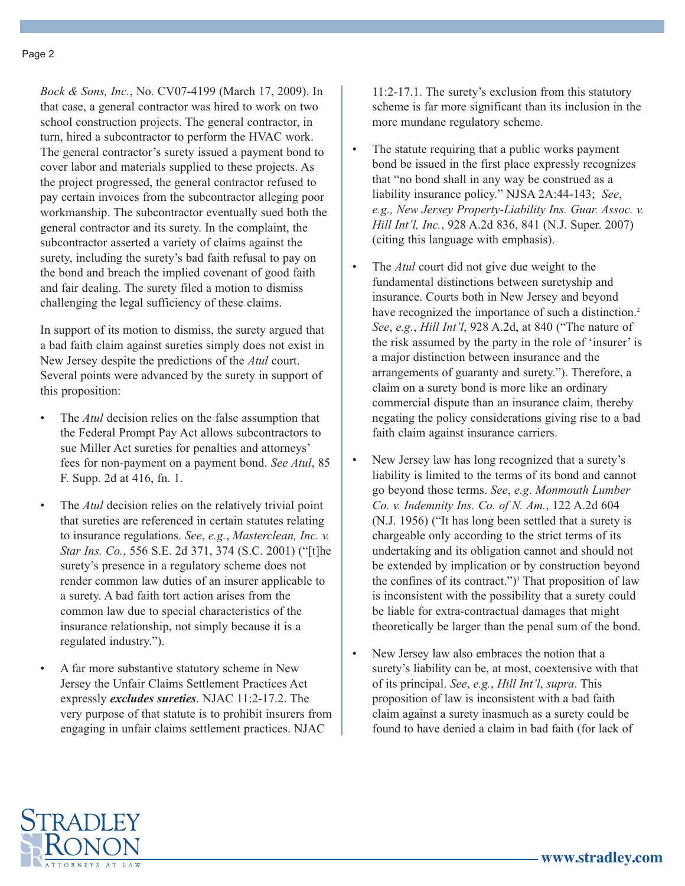*Bock & Sons, Inc.*, No. CV07-4199 (March 17, 2009). In that case, a general contractor was hired to work on two school construction projects. The general contractor, in turn, hired a subcontractor to perform the HVAC work. The general contractor's surety issued a payment bond to cover labor and materials supplied to these projects. As the project progressed, the general contractor refused to pay certain invoices from the subcontractor alleging poor workmanship. The subcontractor eventually sued both the general contractor and its surety. In the complaint, the subcontractor asserted a variety of claims against the surety, including the surety's bad faith refusal to pay on the bond and breach the implied covenant of good faith and fair dealing. The surety filed a motion to dismiss challenging the legal sufficiency of these claims.

In support of its motion to dismiss, the surety argued that a bad faith claim against sureties simply does not exist in New Jersey despite the predictions of the *Atul* court. Several points were advanced by the surety in support of this proposition:

- The *Atul* decision relies on the false assumption that the Federal Prompt Pay Act allows subcontractors to sue Miller Act sureties for penalties and attorneys' fees for non-payment on a payment bond. *See Atul*, 85 F. Supp. 2d at 416, fn. 1.
- The *Atul* decision relies on the relatively trivial point that sureties are referenced in certain statutes relating to insurance regulations. *See*, *e.g.*, *Masterclean, Inc. v. Star Ins. Co.*, 556 S.E. 2d 371, 374 (S.C. 2001) ("[t]he surety's presence in a regulatory scheme does not render common law duties of an insurer applicable to a surety. A bad faith tort action arises from the common law due to special characteristics of the insurance relationship, not simply because it is a regulated industry.").
- A far more substantive statutory scheme in New Jersey the Unfair Claims Settlement Practices Act expressly *excludes sureties*. NJAC 11:2-17.2. The very purpose of that statute is to prohibit insurers from engaging in unfair claims settlement practices. NJAC

11:2-17.1. The surety's exclusion from this statutory scheme is far more significant than its inclusion in the more mundane regulatory scheme.

- The statute requiring that a public works payment bond be issued in the first place expressly recognizes that "no bond shall in any way be construed as a liability insurance policy." NJSA 2A:44-143; *See*, *e.g., New Jersey Property-Liability Ins. Guar. Assoc. v. Hill Int'l, Inc.*, 928 A.2d 836, 841 (N.J. Super. 2007) (citing this language with emphasis).
- The *Atul* court did not give due weight to the fundamental distinctions between suretyship and insurance. Courts both in New Jersey and beyond have recognized the importance of such a distinction.<sup>2</sup> *See*, *e.g.*, *Hill Int'l*, 928 A.2d, at 840 ("The nature of the risk assumed by the party in the role of 'insurer' is a major distinction between insurance and the arrangements of guaranty and surety."). Therefore, a claim on a surety bond is more like an ordinary commercial dispute than an insurance claim, thereby negating the policy considerations giving rise to a bad faith claim against insurance carriers.
- New Jersey law has long recognized that a surety's liability is limited to the terms of its bond and cannot go beyond those terms. *See*, *e.g*. *Monmouth Lumber Co. v. Indemnity Ins. Co. of N. Am.*, 122 A.2d 604 (N.J. 1956) ("It has long been settled that a surety is chargeable only according to the strict terms of its undertaking and its obligation cannot and should not be extended by implication or by construction beyond the confines of its contract." $)$ <sup>3</sup> That proposition of law is inconsistent with the possibility that a surety could be liable for extra-contractual damages that might theoretically be larger than the penal sum of the bond.
- New Jersey law also embraces the notion that a surety's liability can be, at most, coextensive with that of its principal. *See*, *e.g.*, *Hill Int'l*, *supra*. This proposition of law is inconsistent with a bad faith claim against a surety inasmuch as a surety could be found to have denied a claim in bad faith (for lack of

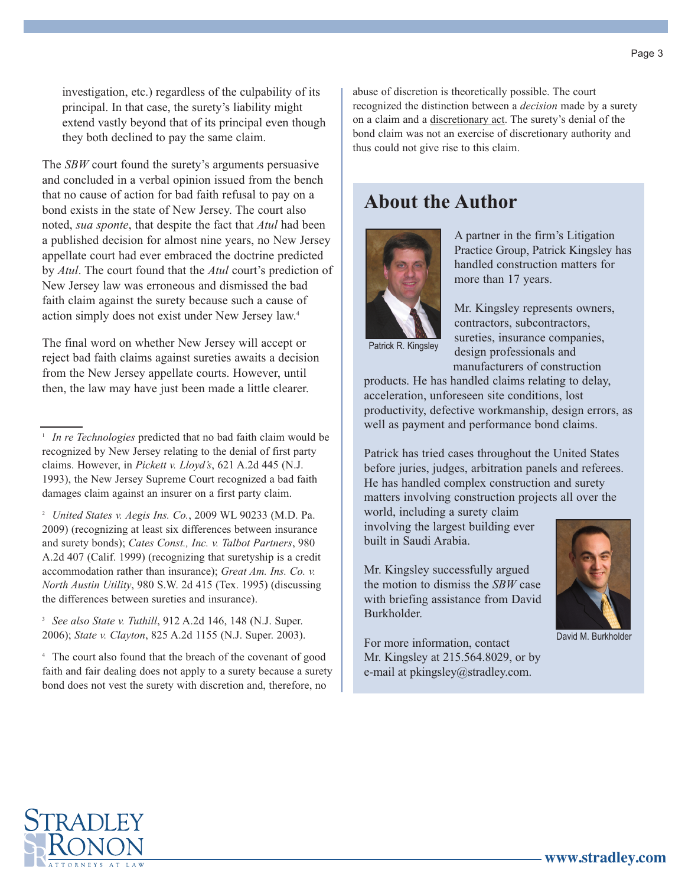investigation, etc.) regardless of the culpability of its principal. In that case, the surety's liability might extend vastly beyond that of its principal even though they both declined to pay the same claim.

The *SBW* court found the surety's arguments persuasive and concluded in a verbal opinion issued from the bench that no cause of action for bad faith refusal to pay on a bond exists in the state of New Jersey. The court also noted, *sua sponte*, that despite the fact that *Atul* had been a published decision for almost nine years, no New Jersey appellate court had ever embraced the doctrine predicted by *Atul*. The court found that the *Atul* court's prediction of New Jersey law was erroneous and dismissed the bad faith claim against the surety because such a cause of action simply does not exist under New Jersey law. 4

The final word on whether New Jersey will accept or reject bad faith claims against sureties awaits a decision from the New Jersey appellate courts. However, until then, the law may have just been made a little clearer.

<sup>4</sup> The court also found that the breach of the covenant of good faith and fair dealing does not apply to a surety because a surety bond does not vest the surety with discretion and, therefore, no

abuse of discretion is theoretically possible. The court recognized the distinction between a *decision* made by a surety on a claim and a discretionary act. The surety's denial of the bond claim was not an exercise of discretionary authority and thus could not give rise to this claim.

## **About the Author**



A partner in the firm's Litigation Practice Group, Patrick Kingsley has handled construction matters for more than 17 years.

Mr. Kingsley represents owners, contractors, subcontractors, sureties, insurance companies, design professionals and manufacturers of construction

Patrick R. Kingsley

products. He has handled claims relating to delay, acceleration, unforeseen site conditions, lost productivity, defective workmanship, design errors, as well as payment and performance bond claims.

Patrick has tried cases throughout the United States before juries, judges, arbitration panels and referees. He has handled complex construction and surety matters involving construction projects all over the world, including a surety claim

involving the largest building ever built in Saudi Arabia.

Mr. Kingsley successfully argued the motion to dismiss the *SBW* case with briefing assistance from David Burkholder.

For more information, contact Mr. Kingsley at 215.564.8029, or by e-mail at pkingsley@stradley.com.



David M. Burkholder



<sup>&</sup>lt;sup>1</sup> *In re Technologies* predicted that no bad faith claim would be recognized by New Jersey relating to the denial of first party claims. However, in *Pickett v. Lloyd's*, 621 A.2d 445 (N.J. 1993), the New Jersey Supreme Court recognized a bad faith damages claim against an insurer on a first party claim.

<sup>2</sup> *United States v. Aegis Ins. Co.*, 2009 WL 90233 (M.D. Pa. 2009) (recognizing at least six differences between insurance and surety bonds); *Cates Const., Inc. v. Talbot Partners*, 980 A.2d 407 (Calif. 1999) (recognizing that suretyship is a credit accommodation rather than insurance); *Great Am. Ins. Co. v. North Austin Utility*, 980 S.W. 2d 415 (Tex. 1995) (discussing the differences between sureties and insurance).

<sup>3</sup> *See also State v. Tuthill*, 912 A.2d 146, 148 (N.J. Super. 2006); *State v. Clayton*, 825 A.2d 1155 (N.J. Super. 2003).